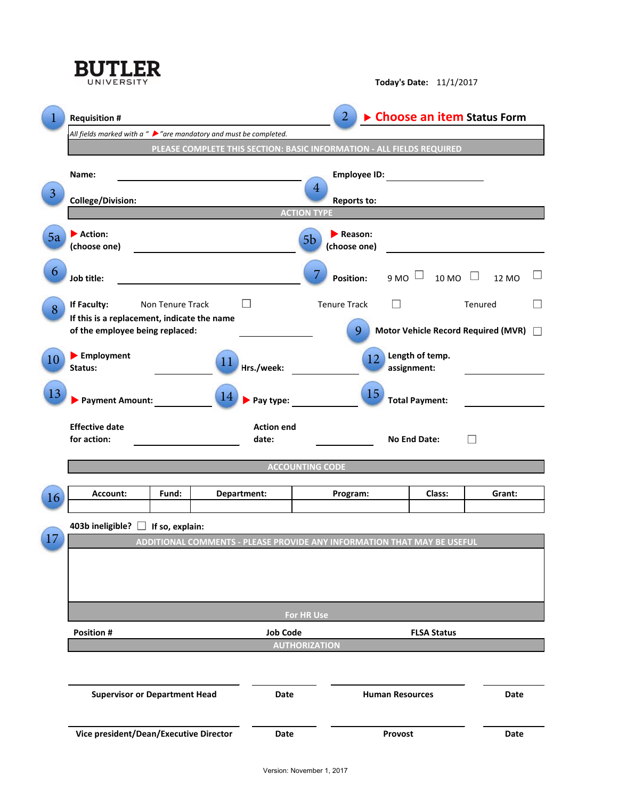|    | <b>BUTLER</b><br>UNIVERSITY                                                        | <b>Today's Date: 11/1/2017</b> |                        |                  |                                                                         |                                |                              |                                     |        |  |  |
|----|------------------------------------------------------------------------------------|--------------------------------|------------------------|------------------|-------------------------------------------------------------------------|--------------------------------|------------------------------|-------------------------------------|--------|--|--|
|    | <b>Requisition #</b>                                                               |                                |                        |                  | $\overline{2}$                                                          |                                | ▶ Choose an item Status Form |                                     |        |  |  |
|    | All fields marked with a " $\triangleright$ " are mandatory and must be completed. |                                |                        |                  |                                                                         |                                |                              |                                     |        |  |  |
|    | PLEASE COMPLETE THIS SECTION: BASIC INFORMATION - ALL FIELDS REQUIRED              |                                |                        |                  |                                                                         |                                |                              |                                     |        |  |  |
|    | Name:                                                                              |                                |                        |                  |                                                                         |                                |                              |                                     |        |  |  |
| 3  |                                                                                    |                                | $\overline{4}$         |                  |                                                                         |                                |                              |                                     |        |  |  |
|    | <b>College/Division:</b>                                                           |                                |                        |                  | <b>Reports to:</b><br><b>ACTION TYPE</b>                                |                                |                              |                                     |        |  |  |
|    |                                                                                    |                                |                        |                  |                                                                         |                                |                              |                                     |        |  |  |
| 5a | Action:                                                                            |                                |                        |                  | $\blacktriangleright$ Reason:<br>5 <sub>b</sub>                         |                                |                              |                                     |        |  |  |
|    | (choose one)<br><u> 1989 - Andrea Station Books, amerikansk politik (d. 1989)</u>  |                                |                        |                  | (choose one)<br><u> 1989 - Johann Barn, mars and de Brasilia (b. 19</u> |                                |                              |                                     |        |  |  |
| 6  | Job title:                                                                         |                                |                        | <b>Position:</b> |                                                                         | 9 MO $\Box$ 10 MO $\Box$ 12 MO |                              |                                     |        |  |  |
|    | If Faculty:                                                                        | Non Tenure Track               |                        | П                | <b>Tenure Track</b>                                                     | $\overline{\phantom{a}}$       |                              | Tenured                             |        |  |  |
| 8  | If this is a replacement, indicate the name                                        |                                |                        |                  |                                                                         |                                |                              |                                     |        |  |  |
|    | of the employee being replaced:                                                    |                                |                        |                  | 9                                                                       |                                |                              | Motor Vehicle Record Required (MVR) |        |  |  |
| 10 | Employment<br>Status:                                                              |                                | 11                     | Hrs./week:       | 12                                                                      | Length of temp.<br>assignment: |                              |                                     |        |  |  |
|    |                                                                                    |                                |                        |                  |                                                                         |                                |                              |                                     |        |  |  |
| 13 | Payment Amount:                                                                    |                                | <sup>14</sup>          | Pay type:        | 15<br><b>Total Payment:</b>                                             |                                |                              |                                     |        |  |  |
|    | <b>Effective date</b><br><b>Action end</b>                                         |                                |                        |                  |                                                                         |                                |                              |                                     |        |  |  |
|    | for action:<br>date:                                                               |                                |                        |                  |                                                                         | $\Box$<br><b>No End Date:</b>  |                              |                                     |        |  |  |
|    |                                                                                    |                                |                        |                  |                                                                         |                                |                              |                                     |        |  |  |
|    | <b>ACCOUNTING CODE</b>                                                             |                                |                        |                  |                                                                         |                                |                              |                                     |        |  |  |
|    | <b>Account:</b>                                                                    | Fund:                          |                        | Department:      | Program:                                                                |                                | Class:                       |                                     | Grant: |  |  |
| 16 |                                                                                    |                                |                        |                  |                                                                         |                                |                              |                                     |        |  |  |
|    | 403b ineligible? □                                                                 | If so, explain:                |                        |                  |                                                                         |                                |                              |                                     |        |  |  |
| 17 |                                                                                    |                                |                        |                  |                                                                         |                                |                              |                                     |        |  |  |
|    | ADDITIONAL COMMENTS - PLEASE PROVIDE ANY INFORMATION THAT MAY BE USEFUL            |                                |                        |                  |                                                                         |                                |                              |                                     |        |  |  |
|    |                                                                                    |                                |                        |                  |                                                                         |                                |                              |                                     |        |  |  |
|    |                                                                                    |                                |                        |                  |                                                                         |                                |                              |                                     |        |  |  |
|    |                                                                                    |                                |                        |                  |                                                                         |                                |                              |                                     |        |  |  |
|    | For HR Use                                                                         |                                |                        |                  |                                                                         |                                |                              |                                     |        |  |  |
|    | <b>Position #</b>                                                                  | <b>Job Code</b>                | <b>FLSA Status</b>     |                  |                                                                         |                                |                              |                                     |        |  |  |
|    |                                                                                    | <b>AUTHORIZATION</b>           |                        |                  |                                                                         |                                |                              |                                     |        |  |  |
|    |                                                                                    |                                |                        |                  |                                                                         |                                |                              |                                     |        |  |  |
|    | <b>Supervisor or Department Head</b>                                               |                                | <b>Human Resources</b> |                  |                                                                         |                                | <b>Date</b>                  |                                     |        |  |  |
|    | Vice president/Dean/Executive Director                                             | <b>Date</b>                    | Provost                |                  |                                                                         | <b>Date</b>                    |                              |                                     |        |  |  |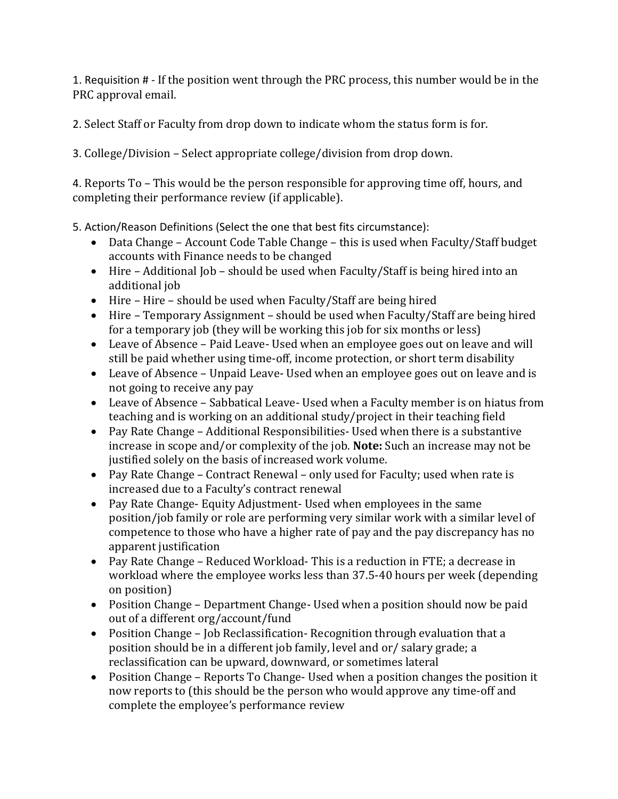1. Requisition # - If the position went through the PRC process, this number would be in the PRC approval email.

2. Select Staff or Faculty from drop down to indicate whom the status form is for.

3. College/Division – Select appropriate college/division from drop down.

4. Reports To – This would be the person responsible for approving time off, hours, and completing their performance review (if applicable).

5. Action/Reason Definitions (Select the one that best fits circumstance):

- Data Change Account Code Table Change this is used when Faculty/Staff budget accounts with Finance needs to be changed
- Hire Additional Job should be used when Faculty/Staff is being hired into an additional job
- Hire Hire should be used when Faculty/Staff are being hired
- Hire Temporary Assignment should be used when Faculty/Staff are being hired for a temporary job (they will be working this job for six months or less)
- Leave of Absence Paid Leave- Used when an employee goes out on leave and will still be paid whether using time-off, income protection, or short term disability
- Leave of Absence Unpaid Leave- Used when an employee goes out on leave and is not going to receive any pay
- Leave of Absence Sabbatical Leave- Used when a Faculty member is on hiatus from teaching and is working on an additional study/project in their teaching field
- Pay Rate Change Additional Responsibilities- Used when there is a substantive increase in scope and/or complexity of the job. **Note:** Such an increase may not be justified solely on the basis of increased work volume.
- Pay Rate Change Contract Renewal only used for Faculty; used when rate is increased due to a Faculty's contract renewal
- Pay Rate Change- Equity Adjustment- Used when employees in the same position/job family or role are performing very similar work with a similar level of competence to those who have a higher rate of pay and the pay discrepancy has no apparent justification
- Pay Rate Change Reduced Workload- This is a reduction in FTE; a decrease in workload where the employee works less than 37.5-40 hours per week (depending on position)
- Position Change Department Change- Used when a position should now be paid out of a different org/account/fund
- Position Change Job Reclassification- Recognition through evaluation that a position should be in a different job family, level and or/ salary grade; a reclassification can be upward, downward, or sometimes lateral
- Position Change Reports To Change- Used when a position changes the position it now reports to (this should be the person who would approve any time-off and complete the employee's performance review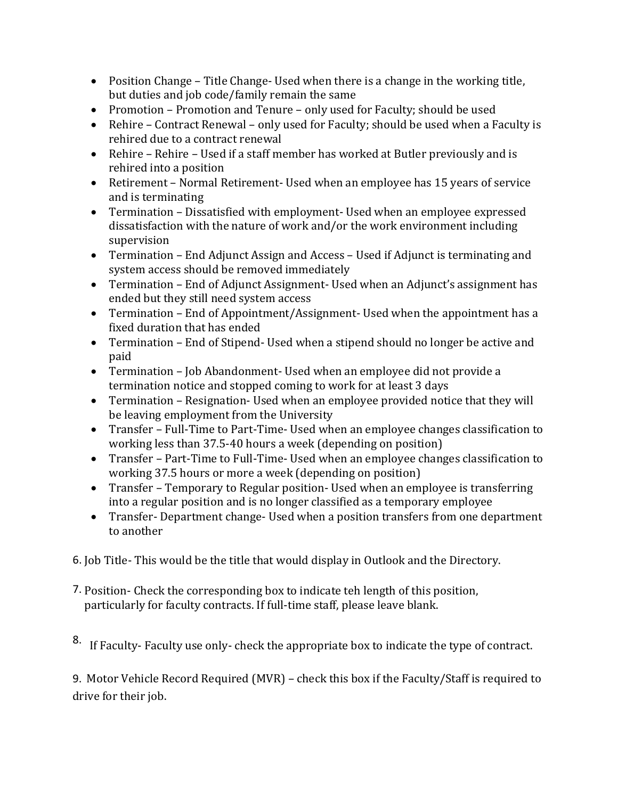- Position Change Title Change- Used when there is a change in the working title, but duties and job code/family remain the same
- Promotion Promotion and Tenure only used for Faculty; should be used
- Rehire Contract Renewal only used for Faculty; should be used when a Faculty is rehired due to a contract renewal
- Rehire Rehire Used if a staff member has worked at Butler previously and is rehired into a position
- Retirement Normal Retirement- Used when an employee has 15 years of service and is terminating
- Termination Dissatisfied with employment- Used when an employee expressed dissatisfaction with the nature of work and/or the work environment including supervision
- Termination End Adjunct Assign and Access Used if Adjunct is terminating and system access should be removed immediately
- Termination End of Adjunct Assignment- Used when an Adjunct's assignment has ended but they still need system access
- Termination End of Appointment/Assignment- Used when the appointment has a fixed duration that has ended
- Termination End of Stipend- Used when a stipend should no longer be active and paid
- Termination Job Abandonment- Used when an employee did not provide a termination notice and stopped coming to work for at least 3 days
- Termination Resignation- Used when an employee provided notice that they will be leaving employment from the University
- Transfer Full-Time to Part-Time- Used when an employee changes classification to working less than 37.5-40 hours a week (depending on position)
- Transfer Part-Time to Full-Time- Used when an employee changes classification to working 37.5 hours or more a week (depending on position)
- Transfer Temporary to Regular position- Used when an employee is transferring into a regular position and is no longer classified as a temporary employee
- Transfer- Department change- Used when a position transfers from one department to another
- 6. Job Title- This would be the title that would display in Outlook and the Directory.
- 7. Position- Check the corresponding box to indicate teh length of this position, particularly for faculty contracts. If full-time staff, please leave blank.
- 8. If Faculty- Faculty use only- check the appropriate box to indicate the type of contract.

9. Motor Vehicle Record Required (MVR) – check this box if the Faculty/Staff is required to drive for their job.